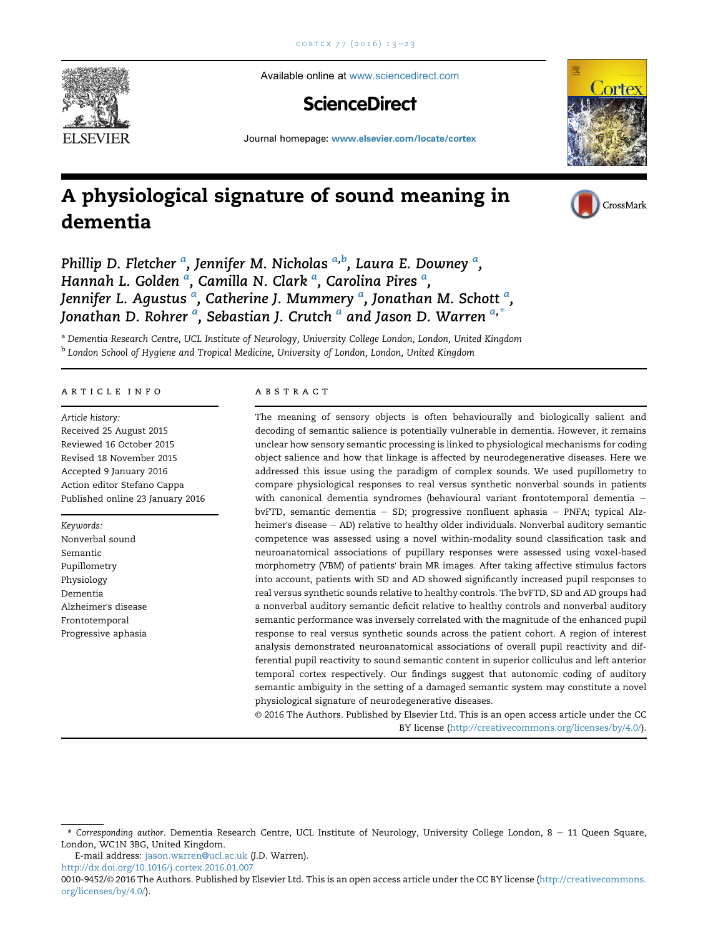**FI SEVIER** 

Available online at [www.sciencedirect.com](www.sciencedirect.com/science/journal/00109452)

# **ScienceDirect**

Journal homepage: <www.elsevier.com/locate/cortex>

# A physiological signature of sound meaning in dementia

Phillip D. Fletcher <sup>a</sup>, Jennifer M. Nicholas <sup>a,b</sup>, Laura E. Downey <sup>a</sup>, Hannah L. Golden <sup>a</sup>, Camilla N. Clark <sup>a</sup>, Carolina Pires <sup>a</sup>, Jennifer L. Agustus <sup>a</sup>, Catherine J. Mummery <sup>a</sup>, Jonathan M. Schott <sup>a</sup>, Jonathan D. Rohrer <sup>a</sup>, Sebastian J. Crutch <sup>a</sup> and Jason D. Warren <sup>a,\*</sup>

a Dementia Research Centre, UCL Institute of Neurology, University College London, London, United Kingdom <sup>b</sup> London School of Hygiene and Tropical Medicine, University of London, London, United Kingdom

#### article info

Article history: Received 25 August 2015 Reviewed 16 October 2015 Revised 18 November 2015 Accepted 9 January 2016 Action editor Stefano Cappa Published online 23 January 2016

Keywords: Nonverbal sound Semantic Pupillometry Physiology Dementia Alzheimer's disease Frontotemporal Progressive aphasia

#### ABSTRACT

The meaning of sensory objects is often behaviourally and biologically salient and decoding of semantic salience is potentially vulnerable in dementia. However, it remains unclear how sensory semantic processing is linked to physiological mechanisms for coding object salience and how that linkage is affected by neurodegenerative diseases. Here we addressed this issue using the paradigm of complex sounds. We used pupillometry to compare physiological responses to real versus synthetic nonverbal sounds in patients with canonical dementia syndromes (behavioural variant frontotemporal dementia  $$ bvFTD, semantic dementia  $-$  SD; progressive nonfluent aphasia  $-$  PNFA; typical Alzheimer's disease  $-$  AD) relative to healthy older individuals. Nonverbal auditory semantic competence was assessed using a novel within-modality sound classification task and neuroanatomical associations of pupillary responses were assessed using voxel-based morphometry (VBM) of patients' brain MR images. After taking affective stimulus factors into account, patients with SD and AD showed significantly increased pupil responses to real versus synthetic sounds relative to healthy controls. The bvFTD, SD and AD groups had a nonverbal auditory semantic deficit relative to healthy controls and nonverbal auditory semantic performance was inversely correlated with the magnitude of the enhanced pupil response to real versus synthetic sounds across the patient cohort. A region of interest analysis demonstrated neuroanatomical associations of overall pupil reactivity and differential pupil reactivity to sound semantic content in superior colliculus and left anterior temporal cortex respectively. Our findings suggest that autonomic coding of auditory semantic ambiguity in the setting of a damaged semantic system may constitute a novel physiological signature of neurodegenerative diseases.

© 2016 The Authors. Published by Elsevier Ltd. This is an open access article under the CC BY license [\(http://creativecommons.org/licenses/by/4.0/\)](http://creativecommons.org/licenses/by/4.0/).

E-mail address: [jason.warren@ucl.ac.uk](mailto:jason.warren@ucl.ac.uk) (J.D. Warren). <http://dx.doi.org/10.1016/j.cortex.2016.01.007>

0010-9452/© 2016 The Authors. Published by Elsevier Ltd. This is an open access article under the CC BY license [\(http://creativecommons.](http://creativecommons.org/licenses/by/4.0/) [org/licenses/by/4.0/](http://creativecommons.org/licenses/by/4.0/)).







<sup>\*</sup> Corresponding author. Dementia Research Centre, UCL Institute of Neurology, University College London, 8 - 11 Queen Square, London, WC1N 3BG, United Kingdom.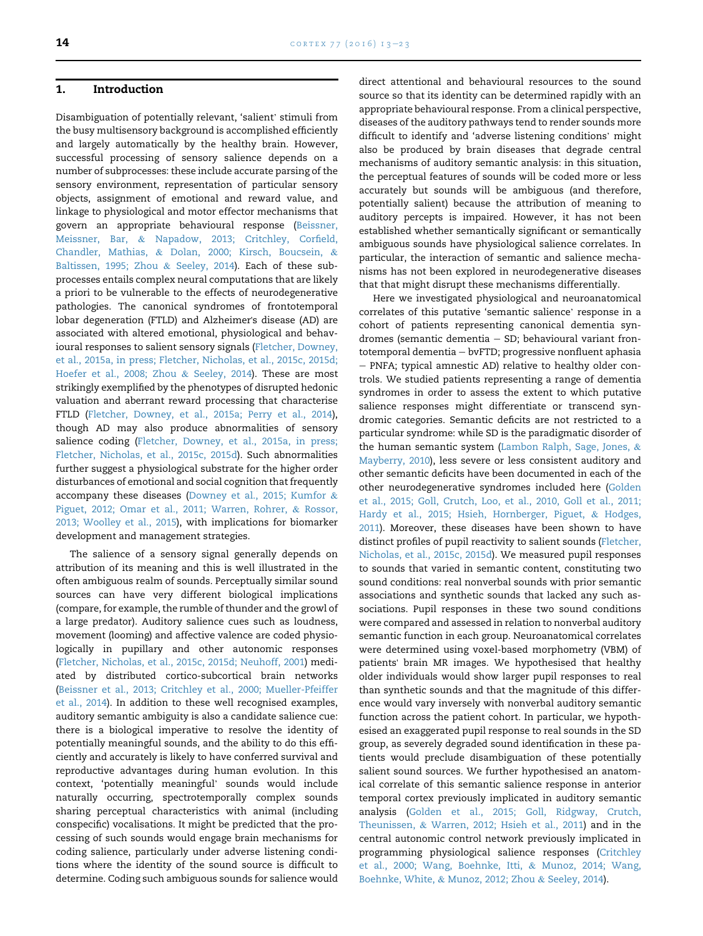#### 1. Introduction

Disambiguation of potentially relevant, 'salient' stimuli from the busy multisensory background is accomplished efficiently and largely automatically by the healthy brain. However, successful processing of sensory salience depends on a number of subprocesses: these include accurate parsing of the sensory environment, representation of particular sensory objects, assignment of emotional and reward value, and linkage to physiological and motor effector mechanisms that govern an appropriate behavioural response [\(Beissner,](#page-8-0) [Meissner, Bar,](#page-8-0) & [Napadow, 2013; Critchley, Corfield,](#page-8-0) [Chandler, Mathias,](#page-8-0) & [Dolan, 2000; Kirsch, Boucsein,](#page-8-0) & [Baltissen, 1995; Zhou](#page-8-0) & [Seeley, 2014\)](#page-8-0). Each of these subprocesses entails complex neural computations that are likely a priori to be vulnerable to the effects of neurodegenerative pathologies. The canonical syndromes of frontotemporal lobar degeneration (FTLD) and Alzheimer's disease (AD) are associated with altered emotional, physiological and behavioural responses to salient sensory signals [\(Fletcher, Downey,](#page-8-0) [et al., 2015a, in press; Fletcher, Nicholas, et al., 2015c, 2015d;](#page-8-0) [Hoefer et al., 2008; Zhou](#page-8-0) & [Seeley, 2014](#page-8-0)). These are most strikingly exemplified by the phenotypes of disrupted hedonic valuation and aberrant reward processing that characterise FTLD ([Fletcher, Downey, et al., 2015a; Perry et al., 2014\)](#page-8-0), though AD may also produce abnormalities of sensory salience coding ([Fletcher, Downey, et al., 2015a, in press;](#page-8-0) [Fletcher, Nicholas, et al., 2015c, 2015d\)](#page-8-0). Such abnormalities further suggest a physiological substrate for the higher order disturbances of emotional and social cognition that frequently accompany these diseases [\(Downey et al., 2015; Kumfor](#page-8-0) & [Piguet, 2012; Omar et al., 2011; Warren, Rohrer,](#page-8-0) & [Rossor,](#page-8-0) [2013; Woolley et al., 2015\)](#page-8-0), with implications for biomarker development and management strategies.

The salience of a sensory signal generally depends on attribution of its meaning and this is well illustrated in the often ambiguous realm of sounds. Perceptually similar sound sources can have very different biological implications (compare, for example, the rumble of thunder and the growl of a large predator). Auditory salience cues such as loudness, movement (looming) and affective valence are coded physiologically in pupillary and other autonomic responses ([Fletcher, Nicholas, et al., 2015c, 2015d; Neuhoff, 2001](#page-9-0)) mediated by distributed cortico-subcortical brain networks ([Beissner et al., 2013; Critchley et al., 2000; Mueller-Pfeiffer](#page-8-0) [et al., 2014\)](#page-8-0). In addition to these well recognised examples, auditory semantic ambiguity is also a candidate salience cue: there is a biological imperative to resolve the identity of potentially meaningful sounds, and the ability to do this efficiently and accurately is likely to have conferred survival and reproductive advantages during human evolution. In this context, 'potentially meaningful' sounds would include naturally occurring, spectrotemporally complex sounds sharing perceptual characteristics with animal (including conspecific) vocalisations. It might be predicted that the processing of such sounds would engage brain mechanisms for coding salience, particularly under adverse listening conditions where the identity of the sound source is difficult to determine. Coding such ambiguous sounds for salience would direct attentional and behavioural resources to the sound source so that its identity can be determined rapidly with an appropriate behavioural response. From a clinical perspective, diseases of the auditory pathways tend to render sounds more difficult to identify and 'adverse listening conditions' might also be produced by brain diseases that degrade central mechanisms of auditory semantic analysis: in this situation, the perceptual features of sounds will be coded more or less accurately but sounds will be ambiguous (and therefore, potentially salient) because the attribution of meaning to auditory percepts is impaired. However, it has not been established whether semantically significant or semantically ambiguous sounds have physiological salience correlates. In particular, the interaction of semantic and salience mechanisms has not been explored in neurodegenerative diseases that that might disrupt these mechanisms differentially.

Here we investigated physiological and neuroanatomical correlates of this putative 'semantic salience' response in a cohort of patients representing canonical dementia syndromes (semantic dementia  $-$  SD; behavioural variant frontotemporal dementia - bvFTD; progressive nonfluent aphasia - PNFA; typical amnestic AD) relative to healthy older controls. We studied patients representing a range of dementia syndromes in order to assess the extent to which putative salience responses might differentiate or transcend syndromic categories. Semantic deficits are not restricted to a particular syndrome: while SD is the paradigmatic disorder of the human semantic system ([Lambon Ralph, Sage, Jones,](#page-9-0) & [Mayberry, 2010](#page-9-0)), less severe or less consistent auditory and other semantic deficits have been documented in each of the other neurodegenerative syndromes included here ([Golden](#page-9-0) [et al., 2015; Goll, Crutch, Loo, et al., 2010, Goll et al., 2011;](#page-9-0) [Hardy et al., 2015; Hsieh, Hornberger, Piguet,](#page-9-0) & [Hodges,](#page-9-0) [2011\)](#page-9-0). Moreover, these diseases have been shown to have distinct profiles of pupil reactivity to salient sounds ([Fletcher,](#page-9-0) [Nicholas, et al., 2015c, 2015d\)](#page-9-0). We measured pupil responses to sounds that varied in semantic content, constituting two sound conditions: real nonverbal sounds with prior semantic associations and synthetic sounds that lacked any such associations. Pupil responses in these two sound conditions were compared and assessed in relation to nonverbal auditory semantic function in each group. Neuroanatomical correlates were determined using voxel-based morphometry (VBM) of patients' brain MR images. We hypothesised that healthy older individuals would show larger pupil responses to real than synthetic sounds and that the magnitude of this difference would vary inversely with nonverbal auditory semantic function across the patient cohort. In particular, we hypothesised an exaggerated pupil response to real sounds in the SD group, as severely degraded sound identification in these patients would preclude disambiguation of these potentially salient sound sources. We further hypothesised an anatomical correlate of this semantic salience response in anterior temporal cortex previously implicated in auditory semantic analysis ([Golden et al., 2015; Goll, Ridgway, Crutch,](#page-9-0) [Theunissen,](#page-9-0) & [Warren, 2012; Hsieh et al., 2011](#page-9-0)) and in the central autonomic control network previously implicated in programming physiological salience responses [\(Critchley](#page-8-0) [et al., 2000; Wang, Boehnke, Itti,](#page-8-0) & [Munoz, 2014; Wang,](#page-8-0) [Boehnke, White,](#page-8-0) & [Munoz, 2012; Zhou](#page-8-0) & [Seeley, 2014](#page-8-0)).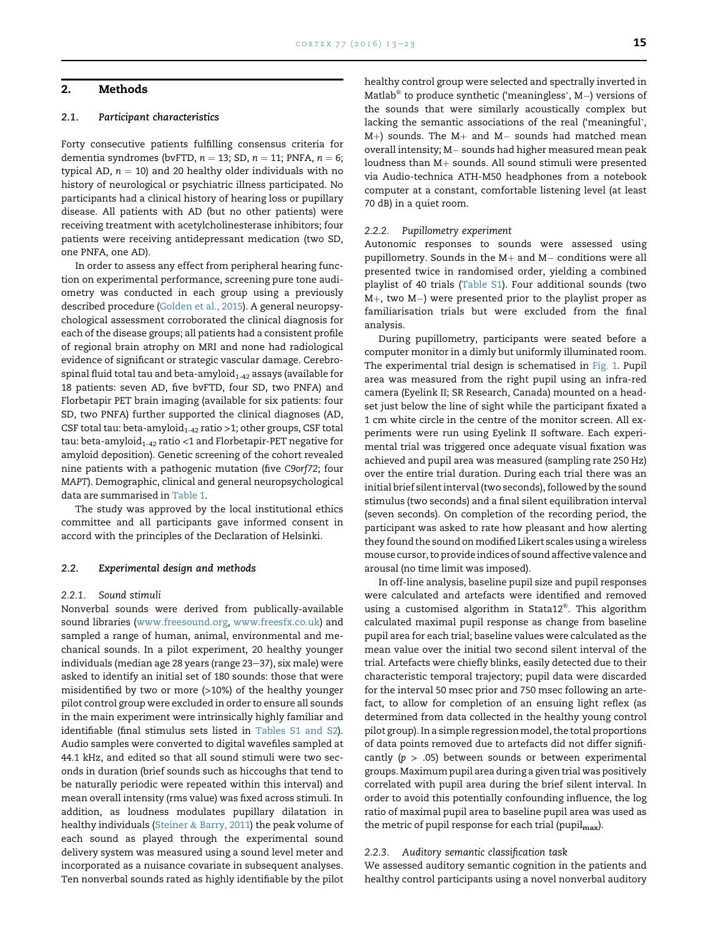#### 2. Methods

#### 2.1. Participant characteristics

Forty consecutive patients fulfilling consensus criteria for dementia syndromes (bvFTD,  $n = 13$ ; SD,  $n = 11$ ; PNFA,  $n = 6$ ; typical AD,  $n = 10$ ) and 20 healthy older individuals with no history of neurological or psychiatric illness participated. No participants had a clinical history of hearing loss or pupillary disease. All patients with AD (but no other patients) were receiving treatment with acetylcholinesterase inhibitors; four patients were receiving antidepressant medication (two SD, one PNFA, one AD).

In order to assess any effect from peripheral hearing function on experimental performance, screening pure tone audiometry was conducted in each group using a previously described procedure [\(Golden et al., 2015\)](#page-9-0). A general neuropsychological assessment corroborated the clinical diagnosis for each of the disease groups; all patients had a consistent profile of regional brain atrophy on MRI and none had radiological evidence of significant or strategic vascular damage. Cerebrospinal fluid total tau and beta-amyloid $_{1-42}$  assays (available for 18 patients: seven AD, five bvFTD, four SD, two PNFA) and Florbetapir PET brain imaging (available for six patients: four SD, two PNFA) further supported the clinical diagnoses (AD, CSF total tau: beta-amyloid $_{1-42}$  ratio >1; other groups, CSF total tau: beta-amyloid<sub>1-42</sub> ratio <1 and Florbetapir-PET negative for amyloid deposition). Genetic screening of the cohort revealed nine patients with a pathogenic mutation (five C9orf72; four MAPT). Demographic, clinical and general neuropsychological data are summarised in [Table 1.](#page-3-0)

The study was approved by the local institutional ethics committee and all participants gave informed consent in accord with the principles of the Declaration of Helsinki.

#### 2.2. Experimental design and methods

#### 2.2.1. Sound stimuli

Nonverbal sounds were derived from publically-available sound libraries ([www.freesound.org,](http://www.freesound.org) [www.freesfx.co.uk\)](http://www.freesfx.co.uk) and sampled a range of human, animal, environmental and mechanical sounds. In a pilot experiment, 20 healthy younger individuals (median age 28 years (range 23-37), six male) were asked to identify an initial set of 180 sounds: those that were misidentified by two or more (>10%) of the healthy younger pilot control group were excluded in order to ensure all sounds in the main experiment were intrinsically highly familiar and identifiable (final stimulus sets listed in Tables S1 and S2). Audio samples were converted to digital wavefiles sampled at 44.1 kHz, and edited so that all sound stimuli were two seconds in duration (brief sounds such as hiccoughs that tend to be naturally periodic were repeated within this interval) and mean overall intensity (rms value) was fixed across stimuli. In addition, as loudness modulates pupillary dilatation in healthy individuals [\(Steiner](#page-9-0) & [Barry, 2011](#page-9-0)) the peak volume of each sound as played through the experimental sound delivery system was measured using a sound level meter and incorporated as a nuisance covariate in subsequent analyses. Ten nonverbal sounds rated as highly identifiable by the pilot

healthy control group were selected and spectrally inverted in<br>Matlab® to produce synthetic ('meaningless', M–) versions of Matlab<sup>®</sup> to produce synthetic ('meaningless',  $M-$ ) versions of the sounds that were similarly acoustically complex but lacking the semantic associations of the real ('meaningful',  $\mathrm{M+}$ ) sounds. The  $\mathrm{M+}$  and  $\mathrm{M-}$  sounds had matched mean overall intensity; M- sounds had higher measured mean peak loudness than  $M+$  sounds. All sound stimuli were presented via Audio-technica ATH-M50 headphones from a notebook computer at a constant, comfortable listening level (at least 70 dB) in a quiet room.

#### 2.2.2. Pupillometry experiment

Autonomic responses to sounds were assessed using pupillometry. Sounds in the  $\mathrm{M}+$  and  $\mathrm{M}-$  conditions were all presented twice in randomised order, yielding a combined playlist of 40 trials (Table S1). Four additional sounds (two  $\mathsf{M}+$ , two  $\mathsf{M}-$ ) were presented prior to the playlist proper as familiarisation trials but were excluded from the final analysis.

During pupillometry, participants were seated before a computer monitor in a dimly but uniformly illuminated room. The experimental trial design is schematised in [Fig. 1](#page-3-0). Pupil area was measured from the right pupil using an infra-red camera (Eyelink II; SR Research, Canada) mounted on a headset just below the line of sight while the participant fixated a 1 cm white circle in the centre of the monitor screen. All experiments were run using Eyelink II software. Each experimental trial was triggered once adequate visual fixation was achieved and pupil area was measured (sampling rate 250 Hz) over the entire trial duration. During each trial there was an initial brief silent interval (two seconds), followed by the sound stimulus (two seconds) and a final silent equilibration interval (seven seconds). On completion of the recording period, the participant was asked to rate how pleasant and how alerting they found the sound on modified Likert scales using a wireless mouse cursor, to provide indices of sound affective valence and arousal (no time limit was imposed).

In off-line analysis, baseline pupil size and pupil responses were calculated and artefacts were identified and removed using a customised algorithm in Stata12®. This algorithm calculated maximal pupil response as change from baseline pupil area for each trial; baseline values were calculated as the mean value over the initial two second silent interval of the trial. Artefacts were chiefly blinks, easily detected due to their characteristic temporal trajectory; pupil data were discarded for the interval 50 msec prior and 750 msec following an artefact, to allow for completion of an ensuing light reflex (as determined from data collected in the healthy young control pilot group). In a simple regression model, the total proportions of data points removed due to artefacts did not differ significantly ( $p > .05$ ) between sounds or between experimental groups. Maximum pupil area during a given trial was positively correlated with pupil area during the brief silent interval. In order to avoid this potentially confounding influence, the log ratio of maximal pupil area to baseline pupil area was used as the metric of pupil response for each trial (pupil $_{\rm max}$ ).

#### 2.2.3. Auditory semantic classification task

We assessed auditory semantic cognition in the patients and healthy control participants using a novel nonverbal auditory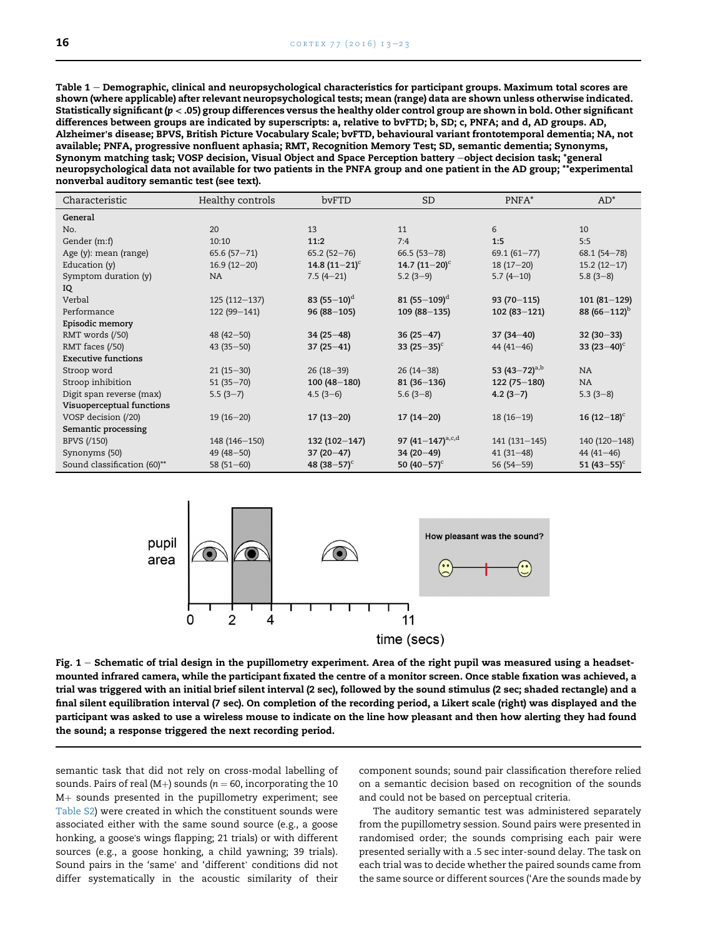<span id="page-3-0"></span>Table  $1$  – Demographic, clinical and neuropsychological characteristics for participant groups. Maximum total scores are shown (where applicable) after relevant neuropsychological tests; mean (range) data are shown unless otherwise indicated. Statistically significant ( $p < .05$ ) group differences versus the healthy older control group are shown in bold. Other significant differences between groups are indicated by superscripts: a, relative to bvFTD; b, SD; c, PNFA; and d, AD groups. AD, Alzheimer's disease; BPVS, British Picture Vocabulary Scale; bvFTD, behavioural variant frontotemporal dementia; NA, not available; PNFA, progressive nonfluent aphasia; RMT, Recognition Memory Test; SD, semantic dementia; Synonyms, Synonym matching task; VOSP decision, Visual Object and Space Perception battery -object decision task; \*general neuropsychological data not available for two patients in the PNFA group and one patient in the AD group; \*\*experimental nonverbal auditory semantic test (see text).

| Characteristic              | Healthy controls | bvFTD              | SD                          | PNFA*              | $AD^*$                    |
|-----------------------------|------------------|--------------------|-----------------------------|--------------------|---------------------------|
| General                     |                  |                    |                             |                    |                           |
| No.                         | 20               | 13                 | 11                          | 6                  | 10                        |
| Gender (m:f)                | 10:10            | 11:2               | 7:4                         | 1:5                | 5:5                       |
| Age (y): mean (range)       | $65.6(57 - 71)$  | $65.2(52 - 76)$    | $66.5(53 - 78)$             | $69.1(61 - 77)$    | $68.1(54 - 78)$           |
| Education (y)               | $16.9(12-20)$    | 14.8 $(11-21)^{c}$ | 14.7 $(11-20)$ <sup>c</sup> | $18(17-20)$        | $15.2(12-17)$             |
| Symptom duration (y)        | <b>NA</b>        | $7.5(4-21)$        | $5.2(3-9)$                  | $5.7(4-10)$        | $5.8(3-8)$                |
| IQ                          |                  |                    |                             |                    |                           |
| Verbal                      | 125 (112-137)    | 83 $(55-10)^d$     | 81 $(55-109)^d$             | $93(70 - 115)$     | $101(81 - 129)$           |
| Performance                 | 122 (99-141)     | $96(88 - 105)$     | $109(88 - 135)$             | $102(83 - 121)$    | 88 (66-112) <sup>b</sup>  |
| Episodic memory             |                  |                    |                             |                    |                           |
| RMT words (/50)             | $48(42 - 50)$    | $34(25-48)$        | $36(25-47)$                 | $37(34 - 40)$      | $32(30-33)$               |
| RMT faces (/50)             | $43(35 - 50)$    | $37(25-41)$        | 33 (25 – 35) $\text{°}$     | $44(41-46)$        | 33 $(23-40)$ <sup>c</sup> |
| <b>Executive functions</b>  |                  |                    |                             |                    |                           |
| Stroop word                 | $21(15-30)$      | $26(18-39)$        | $26(14-38)$                 | 53 $(43-72)^{a,b}$ | <b>NA</b>                 |
| Stroop inhibition           | $51(35 - 70)$    | $100(48 - 180)$    | $81(36 - 136)$              | $122(75-180)$      | <b>NA</b>                 |
| Digit span reverse (max)    | $5.5(3-7)$       | $4.5(3-6)$         | $5.6(3-8)$                  | $4.2(3 - 7)$       | $5.3(3-8)$                |
| Visuoperceptual functions   |                  |                    |                             |                    |                           |
| VOSP decision (/20)         | $19(16-20)$      | $17(13-20)$        | $17(14-20)$                 | $18(16-19)$        | 16 $(12-18)^{c}$          |
| Semantic processing         |                  |                    |                             |                    |                           |
| BPVS (/150)                 | 148 (146-150)    | 132 (102-147)      | 97 $(41-147)^{a,c,d}$       | $141(131 - 145)$   | 140 (120 - 148)           |
| Synonyms (50)               | 49 $(48 - 50)$   | $37(20-47)$        | $34(20-49)$                 | $41(31 - 48)$      | $44(41-46)$               |
| Sound classification (60)** | 58 $(51-60)$     | 48 $(38 - 57)^c$   | 50 $(40-57)^c$              | 56 $(54 - 59)$     | 51 $(43-55)^{c}$          |



Fig.  $1$  – Schematic of trial design in the pupillometry experiment. Area of the right pupil was measured using a headsetmounted infrared camera, while the participant fixated the centre of a monitor screen. Once stable fixation was achieved, a trial was triggered with an initial brief silent interval (2 sec), followed by the sound stimulus (2 sec; shaded rectangle) and a final silent equilibration interval (7 sec). On completion of the recording period, a Likert scale (right) was displayed and the participant was asked to use a wireless mouse to indicate on the line how pleasant and then how alerting they had found the sound; a response triggered the next recording period.

semantic task that did not rely on cross-modal labelling of sounds. Pairs of real (M+) sounds ( $n = 60$ , incorporating the 10  $M+$  sounds presented in the pupillometry experiment; see Table S2) were created in which the constituent sounds were associated either with the same sound source (e.g., a goose honking, a goose's wings flapping; 21 trials) or with different sources (e.g., a goose honking, a child yawning; 39 trials). Sound pairs in the 'same' and 'different' conditions did not differ systematically in the acoustic similarity of their

component sounds; sound pair classification therefore relied on a semantic decision based on recognition of the sounds and could not be based on perceptual criteria.

The auditory semantic test was administered separately from the pupillometry session. Sound pairs were presented in randomised order; the sounds comprising each pair were presented serially with a .5 sec inter-sound delay. The task on each trial was to decide whether the paired sounds came from the same source or different sources ('Are the sounds made by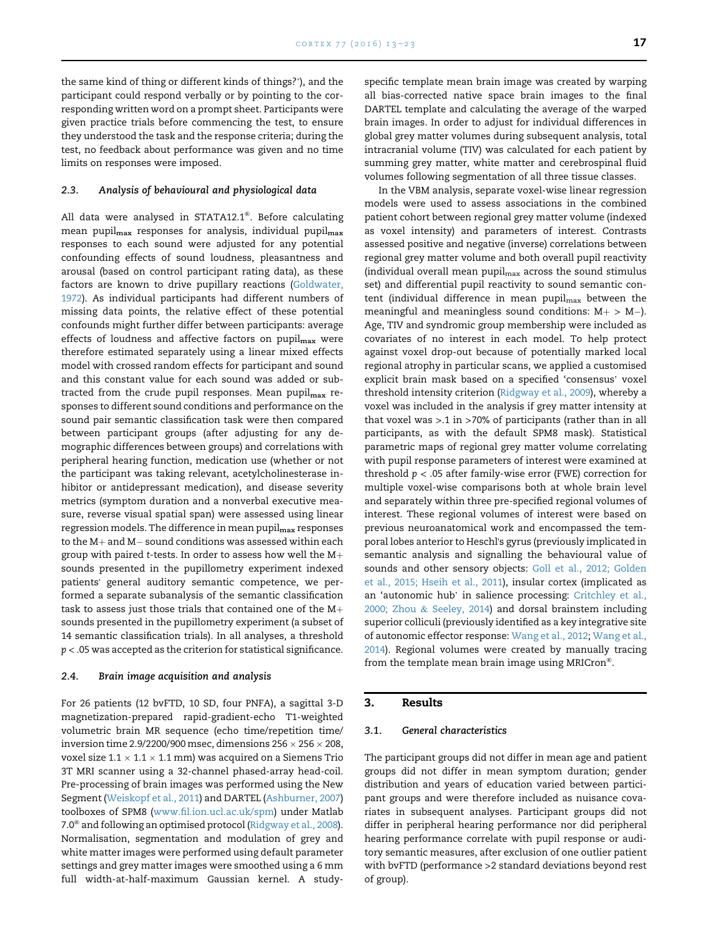the same kind of thing or different kinds of things?'), and the participant could respond verbally or by pointing to the corresponding written word on a prompt sheet. Participants were given practice trials before commencing the test, to ensure they understood the task and the response criteria; during the test, no feedback about performance was given and no time limits on responses were imposed.

#### 2.3. Analysis of behavioural and physiological data

All data were analysed in STATA12.1®. Before calculating mean pupil $_{\text{max}}$  responses for analysis, individual pupil $_{\text{max}}$ responses to each sound were adjusted for any potential confounding effects of sound loudness, pleasantness and arousal (based on control participant rating data), as these factors are known to drive pupillary reactions [\(Goldwater,](#page-9-0) [1972](#page-9-0)). As individual participants had different numbers of missing data points, the relative effect of these potential confounds might further differ between participants: average effects of loudness and affective factors on pupil<sub>max</sub> were therefore estimated separately using a linear mixed effects model with crossed random effects for participant and sound and this constant value for each sound was added or subtracted from the crude pupil responses. Mean pupil $_{\text{max}}$  responses to different sound conditions and performance on the sound pair semantic classification task were then compared between participant groups (after adjusting for any demographic differences between groups) and correlations with peripheral hearing function, medication use (whether or not the participant was taking relevant, acetylcholinesterase inhibitor or antidepressant medication), and disease severity metrics (symptom duration and a nonverbal executive measure, reverse visual spatial span) were assessed using linear regression models. The difference in mean pupil<sub>max</sub> responses to the  $\mathbf{M}+$  and  $\mathbf{M}-$  sound conditions was assessed within each group with paired t-tests. In order to assess how well the  $M +$ sounds presented in the pupillometry experiment indexed patients' general auditory semantic competence, we performed a separate subanalysis of the semantic classification task to assess just those trials that contained one of the  $M +$ sounds presented in the pupillometry experiment (a subset of 14 semantic classification trials). In all analyses, a threshold  $p < 0.05$  was accepted as the criterion for statistical significance.

#### 2.4. Brain image acquisition and analysis

For 26 patients (12 bvFTD, 10 SD, four PNFA), a sagittal 3-D magnetization-prepared rapid-gradient-echo T1-weighted volumetric brain MR sequence (echo time/repetition time/ inversion time 2.9/2200/900 msec, dimensions 256  $\times$  256  $\times$  208, voxel size  $1.1 \times 1.1 \times 1.1$  mm) was acquired on a Siemens Trio 3T MRI scanner using a 32-channel phased-array head-coil. Pre-processing of brain images was performed using the New Segment [\(Weiskopf et al., 2011](#page-9-0)) and DARTEL [\(Ashburner, 2007\)](#page-8-0) toolboxes of SPM8 [\(www.fil.ion.ucl.ac.uk/spm](http://www.fil.ion.ucl.ac.uk/spm)) under Matlab  $7.0^{\circ}$  and following an optimised protocol ([Ridgway et al., 2008](#page-9-0)). Normalisation, segmentation and modulation of grey and white matter images were performed using default parameter settings and grey matter images were smoothed using a 6 mm full width-at-half-maximum Gaussian kernel. A studyspecific template mean brain image was created by warping all bias-corrected native space brain images to the final DARTEL template and calculating the average of the warped brain images. In order to adjust for individual differences in global grey matter volumes during subsequent analysis, total intracranial volume (TIV) was calculated for each patient by summing grey matter, white matter and cerebrospinal fluid volumes following segmentation of all three tissue classes.

In the VBM analysis, separate voxel-wise linear regression models were used to assess associations in the combined patient cohort between regional grey matter volume (indexed as voxel intensity) and parameters of interest. Contrasts assessed positive and negative (inverse) correlations between regional grey matter volume and both overall pupil reactivity (individual overall mean pupil $_{\text{max}}$  across the sound stimulus set) and differential pupil reactivity to sound semantic content (individual difference in mean  $pupil<sub>max</sub>$  between the meaningful and meaningless sound conditions:  $M + > M -$ ). Age, TIV and syndromic group membership were included as covariates of no interest in each model. To help protect against voxel drop-out because of potentially marked local regional atrophy in particular scans, we applied a customised explicit brain mask based on a specified 'consensus' voxel threshold intensity criterion ([Ridgway et al., 2009](#page-9-0)), whereby a voxel was included in the analysis if grey matter intensity at that voxel was >.1 in >70% of participants (rather than in all participants, as with the default SPM8 mask). Statistical parametric maps of regional grey matter volume correlating with pupil response parameters of interest were examined at threshold  $p < .05$  after family-wise error (FWE) correction for multiple voxel-wise comparisons both at whole brain level and separately within three pre-specified regional volumes of interest. These regional volumes of interest were based on previous neuroanatomical work and encompassed the temporal lobes anterior to Heschl's gyrus (previously implicated in semantic analysis and signalling the behavioural value of sounds and other sensory objects: [Goll et al., 2012; Golden](#page-9-0) [et al., 2015; Hseih et al., 2011](#page-9-0)), insular cortex (implicated as an 'autonomic hub' in salience processing: [Critchley et al.,](#page-8-0) [2000; Zhou](#page-8-0) & [Seeley, 2014\)](#page-8-0) and dorsal brainstem including superior colliculi (previously identified as a key integrative site of autonomic effector response: [Wang et al., 2012](#page-9-0); [Wang et al.,](#page-9-0) [2014](#page-9-0)). Regional volumes were created by manually tracing from the template mean brain image using MRICron®.

## 3. Results

#### 3.1. General characteristics

The participant groups did not differ in mean age and patient groups did not differ in mean symptom duration; gender distribution and years of education varied between participant groups and were therefore included as nuisance covariates in subsequent analyses. Participant groups did not differ in peripheral hearing performance nor did peripheral hearing performance correlate with pupil response or auditory semantic measures, after exclusion of one outlier patient with bvFTD (performance >2 standard deviations beyond rest of group).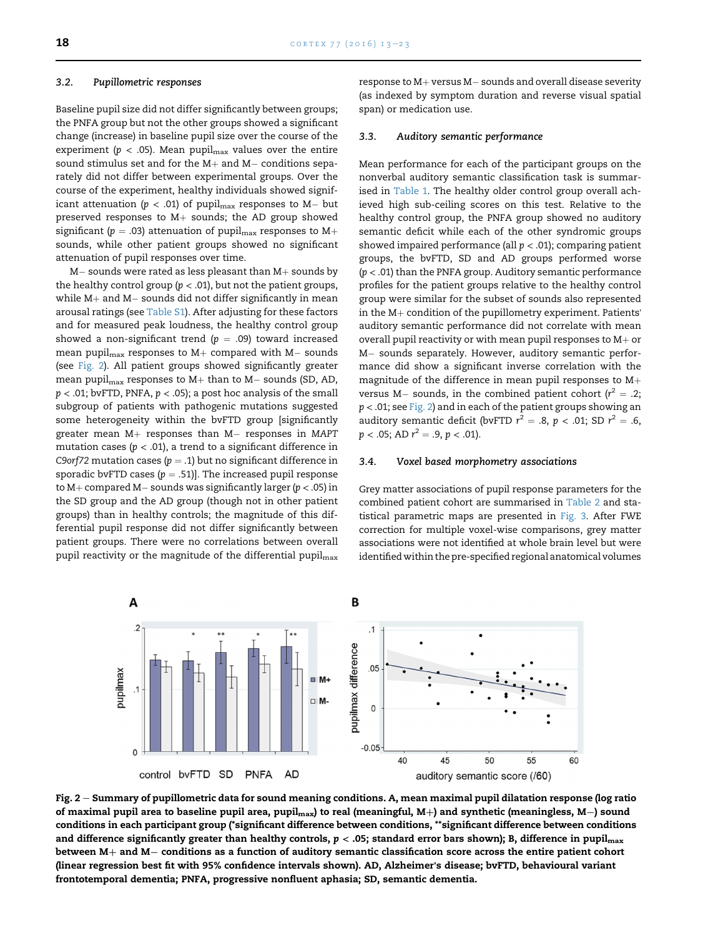#### 3.2. Pupillometric responses

Baseline pupil size did not differ significantly between groups; the PNFA group but not the other groups showed a significant change (increase) in baseline pupil size over the course of the experiment ( $p < .05$ ). Mean pupil<sub>max</sub> values over the entire sound stimulus set and for the  $\mathrm{M} +$  and  $\mathrm{M} -$  conditions separately did not differ between experimental groups. Over the course of the experiment, healthy individuals showed significant attenuation ( $p < .01$ ) of  $\operatorname{\textsf{pupil}}_{\max}$  responses to M $-$  but preserved responses to  $M+$  sounds; the AD group showed significant ( $p = .03$ ) attenuation of pupil<sub>max</sub> responses to M+ sounds, while other patient groups showed no significant attenuation of pupil responses over time.

 $\mathsf{M}\mathrm{-}$  sounds were rated as less pleasant than  $\mathsf{M}\mathrm{+}$  sounds by the healthy control group ( $p < .01$ ), but not the patient groups, while M $+$  and M $-$  sounds did not differ significantly in mean arousal ratings (see Table S1). After adjusting for these factors and for measured peak loudness, the healthy control group showed a non-significant trend ( $p = .09$ ) toward increased mean pupil $_{\rm max}$  responses to M $+$  compared with M $-$  sounds (see Fig. 2). All patient groups showed significantly greater mean pupil $_{\rm max}$  responses to M $+$  than to M $-$  sounds (SD, AD,  $p < .01$ ; bvFTD, PNFA,  $p < .05$ ); a post hoc analysis of the small subgroup of patients with pathogenic mutations suggested some heterogeneity within the bvFTD group [significantly greater mean  $M+$  responses than  $M-$  responses in MAPT mutation cases ( $p < .01$ ), a trend to a significant difference in C9orf72 mutation cases ( $p = .1$ ) but no significant difference in sporadic bvFTD cases ( $p = .51$ )]. The increased pupil response to M $+$  compared M $-$  sounds was significantly larger (p  $<$  .05) in the SD group and the AD group (though not in other patient groups) than in healthy controls; the magnitude of this differential pupil response did not differ significantly between patient groups. There were no correlations between overall pupil reactivity or the magnitude of the differential  $pupil<sub>max</sub>$ 

response to  $\mathsf{M}+$  versus  $\mathsf{M}-$  sounds and overall disease severity (as indexed by symptom duration and reverse visual spatial span) or medication use.

#### 3.3. Auditory semantic performance

Mean performance for each of the participant groups on the nonverbal auditory semantic classification task is summarised in [Table 1](#page-3-0). The healthy older control group overall achieved high sub-ceiling scores on this test. Relative to the healthy control group, the PNFA group showed no auditory semantic deficit while each of the other syndromic groups showed impaired performance (all  $p < .01$ ); comparing patient groups, the bvFTD, SD and AD groups performed worse (p < .01) than the PNFA group. Auditory semantic performance profiles for the patient groups relative to the healthy control group were similar for the subset of sounds also represented in the  $M+$  condition of the pupillometry experiment. Patients' auditory semantic performance did not correlate with mean overall pupil reactivity or with mean pupil responses to  $M_+$  or M- sounds separately. However, auditory semantic performance did show a significant inverse correlation with the magnitude of the difference in mean pupil responses to  $M +$ versus M– sounds, in the combined patient cohort ( $r^2 = .2$ ;  $p < .01$ ; see Fig. 2) and in each of the patient groups showing an auditory semantic deficit (bvFTD  $r^2 = .8$ ,  $p < .01$ ; SD  $r^2 = .6$ ,  $p < .05$ ; AD  $r^2 = .9$ ,  $p < .01$ ).

#### 3.4. Voxel based morphometry associations

Grey matter associations of pupil response parameters for the combined patient cohort are summarised in [Table 2](#page-6-0) and statistical parametric maps are presented in [Fig. 3.](#page-6-0) After FWE correction for multiple voxel-wise comparisons, grey matter associations were not identified at whole brain level but were identified within the pre-specified regional anatomical volumes



Fig.  $2$  – Summary of pupillometric data for sound meaning conditions. A, mean maximal pupil dilatation response (log ratio of maximal pupil area to baseline pupil area, pupil<sub>max</sub>) to real (meaningful, M+) and synthetic (meaningless, M-) sound conditions in each participant group (\*significant difference between conditions, \*\*significant difference between conditions and difference significantly greater than healthy controls,  $p < .05$ ; standard error bars shown); B, difference in pupil<sub>max</sub> between  $M+$  and  $M-$  conditions as a function of auditory semantic classification score across the entire patient cohort (linear regression best fit with 95% confidence intervals shown). AD, Alzheimer's disease; bvFTD, behavioural variant frontotemporal dementia; PNFA, progressive nonfluent aphasia; SD, semantic dementia.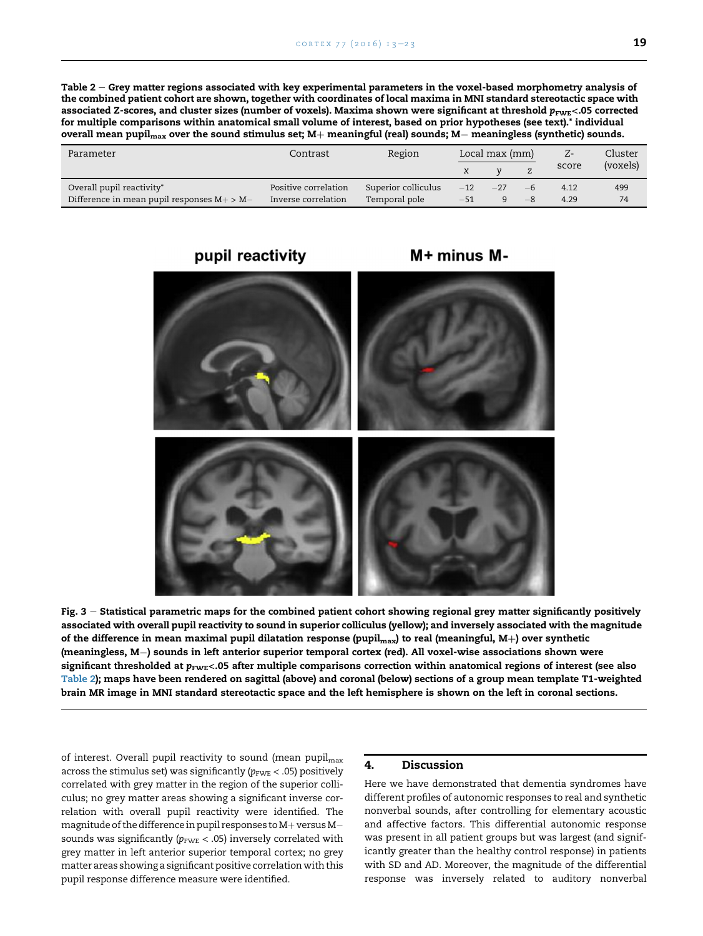<span id="page-6-0"></span>Table  $2 -$  Grey matter regions associated with key experimental parameters in the voxel-based morphometry analysis of the combined patient cohort are shown, together with coordinates of local maxima in MNI standard stereotactic space with associated Z-scores, and cluster sizes (number of voxels). Maxima shown were significant at threshold  $p_{FWE}<0$ 5 corrected for multiple comparisons within anatomical small volume of interest, based on prior hypotheses (see text).\* individual overall mean pupil<sub>max</sub> over the sound stimulus set; M $+$  meaningful (real) sounds; M $-$  meaningless (synthetic) sounds.

| Parameter                                      | Contrast             | Region              | Local max (mm) |  |      |       | Cluster  |
|------------------------------------------------|----------------------|---------------------|----------------|--|------|-------|----------|
|                                                |                      |                     |                |  |      | score | (voxels) |
| Overall pupil reactivity*                      | Positive correlation | Superior colliculus | $-12$          |  |      | 4.12  | 499      |
| Difference in mean pupil responses $M + > M -$ | Inverse correlation  | Temporal pole       | $-51$          |  | $-8$ | 4.29  | 74       |



Fig. 3 - Statistical parametric maps for the combined patient cohort showing regional grey matter significantly positively associated with overall pupil reactivity to sound in superior colliculus (yellow); and inversely associated with the magnitude of the difference in mean maximal pupil dilatation response (pupil<sub>max</sub>) to real (meaningful, M+) over synthetic  $($ meaningless,  $M$  $)$  sounds in left anterior superior temporal cortex (red). All voxel-wise associations shown were significant thresholded at  $p_{\text{FWE}}$ <.05 after multiple comparisons correction within anatomical regions of interest (see also Table 2); maps have been rendered on sagittal (above) and coronal (below) sections of a group mean template T1-weighted brain MR image in MNI standard stereotactic space and the left hemisphere is shown on the left in coronal sections.

of interest. Overall pupil reactivity to sound (mean pupil $_{\text{max}}$ across the stimulus set) was significantly ( $p_{\text{FWE}}$  < .05) positively correlated with grey matter in the region of the superior colliculus; no grey matter areas showing a significant inverse correlation with overall pupil reactivity were identified. The magnitude of the difference in pupil responses to M $+$  versus M $$ sounds was significantly ( $p_{\text{FWE}}$  < .05) inversely correlated with grey matter in left anterior superior temporal cortex; no grey matter areas showing a significant positive correlation with this pupil response difference measure were identified.

### 4. Discussion

Here we have demonstrated that dementia syndromes have different profiles of autonomic responses to real and synthetic nonverbal sounds, after controlling for elementary acoustic and affective factors. This differential autonomic response was present in all patient groups but was largest (and significantly greater than the healthy control response) in patients with SD and AD. Moreover, the magnitude of the differential response was inversely related to auditory nonverbal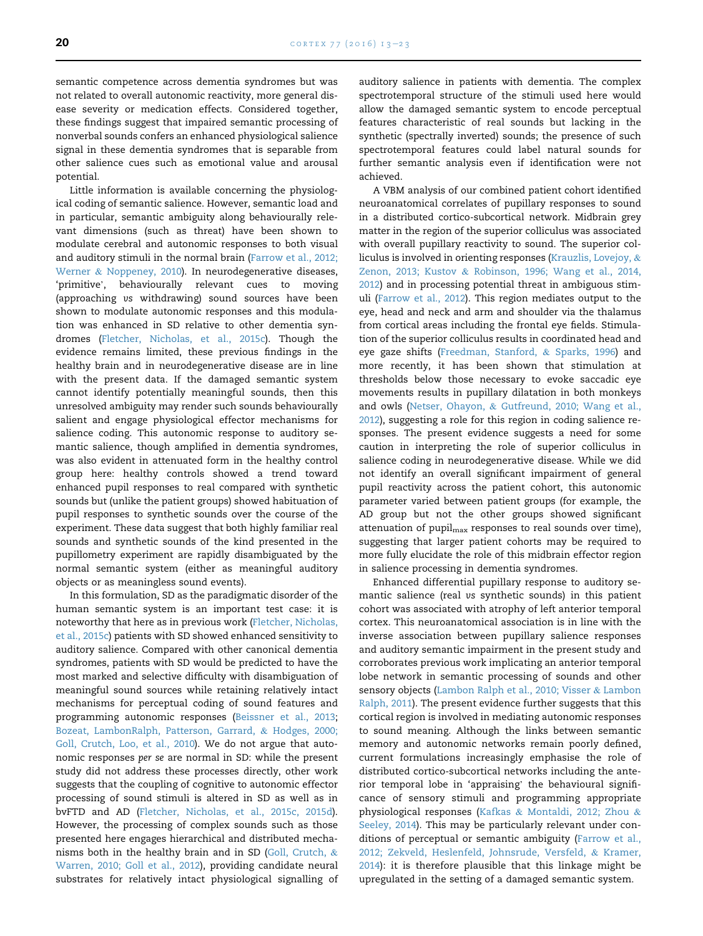semantic competence across dementia syndromes but was not related to overall autonomic reactivity, more general disease severity or medication effects. Considered together, these findings suggest that impaired semantic processing of nonverbal sounds confers an enhanced physiological salience signal in these dementia syndromes that is separable from other salience cues such as emotional value and arousal potential.

Little information is available concerning the physiological coding of semantic salience. However, semantic load and in particular, semantic ambiguity along behaviourally relevant dimensions (such as threat) have been shown to modulate cerebral and autonomic responses to both visual and auditory stimuli in the normal brain [\(Farrow et al., 2012;](#page-8-0) [Werner](#page-8-0) & [Noppeney, 2010\)](#page-8-0). In neurodegenerative diseases, 'primitive', behaviourally relevant cues to moving (approaching vs withdrawing) sound sources have been shown to modulate autonomic responses and this modulation was enhanced in SD relative to other dementia syndromes [\(Fletcher, Nicholas, et al., 2015c\)](#page-9-0). Though the evidence remains limited, these previous findings in the healthy brain and in neurodegenerative disease are in line with the present data. If the damaged semantic system cannot identify potentially meaningful sounds, then this unresolved ambiguity may render such sounds behaviourally salient and engage physiological effector mechanisms for salience coding. This autonomic response to auditory semantic salience, though amplified in dementia syndromes, was also evident in attenuated form in the healthy control group here: healthy controls showed a trend toward enhanced pupil responses to real compared with synthetic sounds but (unlike the patient groups) showed habituation of pupil responses to synthetic sounds over the course of the experiment. These data suggest that both highly familiar real sounds and synthetic sounds of the kind presented in the pupillometry experiment are rapidly disambiguated by the normal semantic system (either as meaningful auditory objects or as meaningless sound events).

In this formulation, SD as the paradigmatic disorder of the human semantic system is an important test case: it is noteworthy that here as in previous work [\(Fletcher, Nicholas,](#page-9-0) [et al., 2015c](#page-9-0)) patients with SD showed enhanced sensitivity to auditory salience. Compared with other canonical dementia syndromes, patients with SD would be predicted to have the most marked and selective difficulty with disambiguation of meaningful sound sources while retaining relatively intact mechanisms for perceptual coding of sound features and programming autonomic responses ([Beissner et al., 2013](#page-8-0); [Bozeat, LambonRalph, Patterson, Garrard,](#page-8-0) & [Hodges, 2000;](#page-8-0) [Goll, Crutch, Loo, et al., 2010\)](#page-8-0). We do not argue that autonomic responses per se are normal in SD: while the present study did not address these processes directly, other work suggests that the coupling of cognitive to autonomic effector processing of sound stimuli is altered in SD as well as in bvFTD and AD [\(Fletcher, Nicholas, et al., 2015c, 2015d\)](#page-9-0). However, the processing of complex sounds such as those presented here engages hierarchical and distributed mechanisms both in the healthy brain and in SD ([Goll, Crutch,](#page-9-0) & [Warren, 2010; Goll et al., 2012\)](#page-9-0), providing candidate neural substrates for relatively intact physiological signalling of auditory salience in patients with dementia. The complex spectrotemporal structure of the stimuli used here would allow the damaged semantic system to encode perceptual features characteristic of real sounds but lacking in the synthetic (spectrally inverted) sounds; the presence of such spectrotemporal features could label natural sounds for further semantic analysis even if identification were not achieved.

A VBM analysis of our combined patient cohort identified neuroanatomical correlates of pupillary responses to sound in a distributed cortico-subcortical network. Midbrain grey matter in the region of the superior colliculus was associated with overall pupillary reactivity to sound. The superior colliculus is involved in orienting responses [\(Krauzlis, Lovejoy,](#page-9-0) & [Zenon, 2013; Kustov](#page-9-0) & [Robinson, 1996; Wang et al., 2014,](#page-9-0) [2012\)](#page-9-0) and in processing potential threat in ambiguous stimuli [\(Farrow et al., 2012](#page-8-0)). This region mediates output to the eye, head and neck and arm and shoulder via the thalamus from cortical areas including the frontal eye fields. Stimulation of the superior colliculus results in coordinated head and eye gaze shifts [\(Freedman, Stanford,](#page-9-0) & [Sparks, 1996\)](#page-9-0) and more recently, it has been shown that stimulation at thresholds below those necessary to evoke saccadic eye movements results in pupillary dilatation in both monkeys and owls [\(Netser, Ohayon,](#page-9-0) & [Gutfreund, 2010; Wang et al.,](#page-9-0) [2012\)](#page-9-0), suggesting a role for this region in coding salience responses. The present evidence suggests a need for some caution in interpreting the role of superior colliculus in salience coding in neurodegenerative disease. While we did not identify an overall significant impairment of general pupil reactivity across the patient cohort, this autonomic parameter varied between patient groups (for example, the AD group but not the other groups showed significant attenuation of pupil<sub>max</sub> responses to real sounds over time), suggesting that larger patient cohorts may be required to more fully elucidate the role of this midbrain effector region in salience processing in dementia syndromes.

Enhanced differential pupillary response to auditory semantic salience (real vs synthetic sounds) in this patient cohort was associated with atrophy of left anterior temporal cortex. This neuroanatomical association is in line with the inverse association between pupillary salience responses and auditory semantic impairment in the present study and corroborates previous work implicating an anterior temporal lobe network in semantic processing of sounds and other sensory objects [\(Lambon Ralph et al., 2010; Visser](#page-9-0) & [Lambon](#page-9-0) [Ralph, 2011](#page-9-0)). The present evidence further suggests that this cortical region is involved in mediating autonomic responses to sound meaning. Although the links between semantic memory and autonomic networks remain poorly defined, current formulations increasingly emphasise the role of distributed cortico-subcortical networks including the ante-rior temporal lobe in 'appraising' the behavioural significance of sensory stimuli and programming appropriate physiological responses [\(Kafkas](#page-9-0) & [Montaldi, 2012; Zhou](#page-9-0) & [Seeley, 2014\)](#page-9-0). This may be particularly relevant under conditions of perceptual or semantic ambiguity [\(Farrow et al.,](#page-8-0) [2012; Zekveld, Heslenfeld, Johnsrude, Versfeld,](#page-8-0) & [Kramer,](#page-8-0) [2014](#page-8-0)): it is therefore plausible that this linkage might be upregulated in the setting of a damaged semantic system.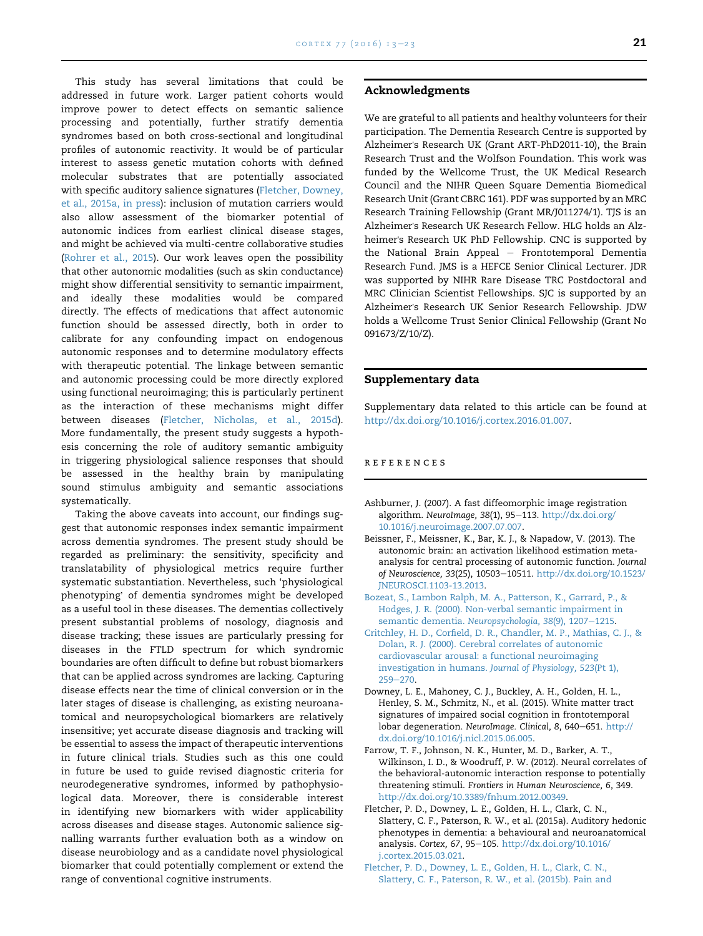<span id="page-8-0"></span>This study has several limitations that could be addressed in future work. Larger patient cohorts would improve power to detect effects on semantic salience processing and potentially, further stratify dementia syndromes based on both cross-sectional and longitudinal profiles of autonomic reactivity. It would be of particular interest to assess genetic mutation cohorts with defined molecular substrates that are potentially associated with specific auditory salience signatures (Fletcher, Downey, et al., 2015a, in press): inclusion of mutation carriers would also allow assessment of the biomarker potential of autonomic indices from earliest clinical disease stages, and might be achieved via multi-centre collaborative studies [\(Rohrer et al., 2015\)](#page-9-0). Our work leaves open the possibility that other autonomic modalities (such as skin conductance) might show differential sensitivity to semantic impairment, and ideally these modalities would be compared directly. The effects of medications that affect autonomic function should be assessed directly, both in order to calibrate for any confounding impact on endogenous autonomic responses and to determine modulatory effects with therapeutic potential. The linkage between semantic and autonomic processing could be more directly explored using functional neuroimaging; this is particularly pertinent as the interaction of these mechanisms might differ between diseases ([Fletcher, Nicholas, et al., 2015d](#page-9-0)). More fundamentally, the present study suggests a hypothesis concerning the role of auditory semantic ambiguity in triggering physiological salience responses that should be assessed in the healthy brain by manipulating sound stimulus ambiguity and semantic associations systematically.

Taking the above caveats into account, our findings suggest that autonomic responses index semantic impairment across dementia syndromes. The present study should be regarded as preliminary: the sensitivity, specificity and translatability of physiological metrics require further systematic substantiation. Nevertheless, such 'physiological phenotyping' of dementia syndromes might be developed as a useful tool in these diseases. The dementias collectively present substantial problems of nosology, diagnosis and disease tracking; these issues are particularly pressing for diseases in the FTLD spectrum for which syndromic boundaries are often difficult to define but robust biomarkers that can be applied across syndromes are lacking. Capturing disease effects near the time of clinical conversion or in the later stages of disease is challenging, as existing neuroanatomical and neuropsychological biomarkers are relatively insensitive; yet accurate disease diagnosis and tracking will be essential to assess the impact of therapeutic interventions in future clinical trials. Studies such as this one could in future be used to guide revised diagnostic criteria for neurodegenerative syndromes, informed by pathophysiological data. Moreover, there is considerable interest in identifying new biomarkers with wider applicability across diseases and disease stages. Autonomic salience signalling warrants further evaluation both as a window on disease neurobiology and as a candidate novel physiological biomarker that could potentially complement or extend the range of conventional cognitive instruments.

#### Acknowledgments

We are grateful to all patients and healthy volunteers for their participation. The Dementia Research Centre is supported by Alzheimer's Research UK (Grant ART-PhD2011-10), the Brain Research Trust and the Wolfson Foundation. This work was funded by the Wellcome Trust, the UK Medical Research Council and the NIHR Queen Square Dementia Biomedical Research Unit (Grant CBRC 161). PDF was supported by an MRC Research Training Fellowship (Grant MR/J011274/1). TJS is an Alzheimer's Research UK Research Fellow. HLG holds an Alzheimer's Research UK PhD Fellowship. CNC is supported by the National Brain Appeal  $-$  Frontotemporal Dementia Research Fund. JMS is a HEFCE Senior Clinical Lecturer. JDR was supported by NIHR Rare Disease TRC Postdoctoral and MRC Clinician Scientist Fellowships. SJC is supported by an Alzheimer's Research UK Senior Research Fellowship. JDW holds a Wellcome Trust Senior Clinical Fellowship (Grant No 091673/Z/10/Z).

#### Supplementary data

Supplementary data related to this article can be found at <http://dx.doi.org/10.1016/j.cortex.2016.01.007>.

#### references

- Ashburner, J. (2007). A fast diffeomorphic image registration algorithm. NeuroImage,  $38(1)$ ,  $95-113$ . [http://dx.doi.org/](http://dx.doi.org/10.1016/j.neuroimage.2007.07.007) [10.1016/j.neuroimage.2007.07.007](http://dx.doi.org/10.1016/j.neuroimage.2007.07.007).
- Beissner, F., Meissner, K., Bar, K. J., & Napadow, V. (2013). The autonomic brain: an activation likelihood estimation metaanalysis for central processing of autonomic function. Journal of Neuroscience, 33(25), 10503-10511. [http://dx.doi.org/10.1523/](http://dx.doi.org/10.1523/JNEUROSCI.1103-13.2013) [JNEUROSCI.1103-13.2013](http://dx.doi.org/10.1523/JNEUROSCI.1103-13.2013).
- [Bozeat, S., Lambon Ralph, M. A., Patterson, K., Garrard, P., &](http://refhub.elsevier.com/S0010-9452(16)00017-4/sref3) [Hodges, J. R. \(2000\). Non-verbal semantic impairment in](http://refhub.elsevier.com/S0010-9452(16)00017-4/sref3) [semantic dementia.](http://refhub.elsevier.com/S0010-9452(16)00017-4/sref3) Neuropsychologia, 38(9), 1207-[1215.](http://refhub.elsevier.com/S0010-9452(16)00017-4/sref3)
- [Critchley, H. D., Corfield, D. R., Chandler, M. P., Mathias, C. J., &](http://refhub.elsevier.com/S0010-9452(16)00017-4/sref4) [Dolan, R. J. \(2000\). Cerebral correlates of autonomic](http://refhub.elsevier.com/S0010-9452(16)00017-4/sref4) [cardiovascular arousal: a functional neuroimaging](http://refhub.elsevier.com/S0010-9452(16)00017-4/sref4) [investigation in humans.](http://refhub.elsevier.com/S0010-9452(16)00017-4/sref4) Journal of Physiology, 523(Pt 1),  $259 - 270$  $259 - 270$  $259 - 270$ .
- Downey, L. E., Mahoney, C. J., Buckley, A. H., Golden, H. L., Henley, S. M., Schmitz, N., et al. (2015). White matter tract signatures of impaired social cognition in frontotemporal lobar degeneration. NeuroImage. Clinical, 8, 640-651. [http://](http://dx.doi.org/10.1016/j.nicl.2015.06.005) [dx.doi.org/10.1016/j.nicl.2015.06.005](http://dx.doi.org/10.1016/j.nicl.2015.06.005).
- Farrow, T. F., Johnson, N. K., Hunter, M. D., Barker, A. T., Wilkinson, I. D., & Woodruff, P. W. (2012). Neural correlates of the behavioral-autonomic interaction response to potentially threatening stimuli. Frontiers in Human Neuroscience, 6, 349. [http://dx.doi.org/10.3389/fnhum.2012.00349.](http://dx.doi.org/10.3389/fnhum.2012.00349)
- Fletcher, P. D., Downey, L. E., Golden, H. L., Clark, C. N., Slattery, C. F., Paterson, R. W., et al. (2015a). Auditory hedonic phenotypes in dementia: a behavioural and neuroanatomical analysis. Cortex, 67, 95-105. [http://dx.doi.org/10.1016/](http://dx.doi.org/10.1016/j.cortex.2015.03.021) [j.cortex.2015.03.021.](http://dx.doi.org/10.1016/j.cortex.2015.03.021)
- [Fletcher, P. D., Downey, L. E., Golden, H. L., Clark, C. N.,](http://refhub.elsevier.com/S0010-9452(16)00017-4/sref8) [Slattery, C. F., Paterson, R. W., et al. \(2015b\). Pain and](http://refhub.elsevier.com/S0010-9452(16)00017-4/sref8)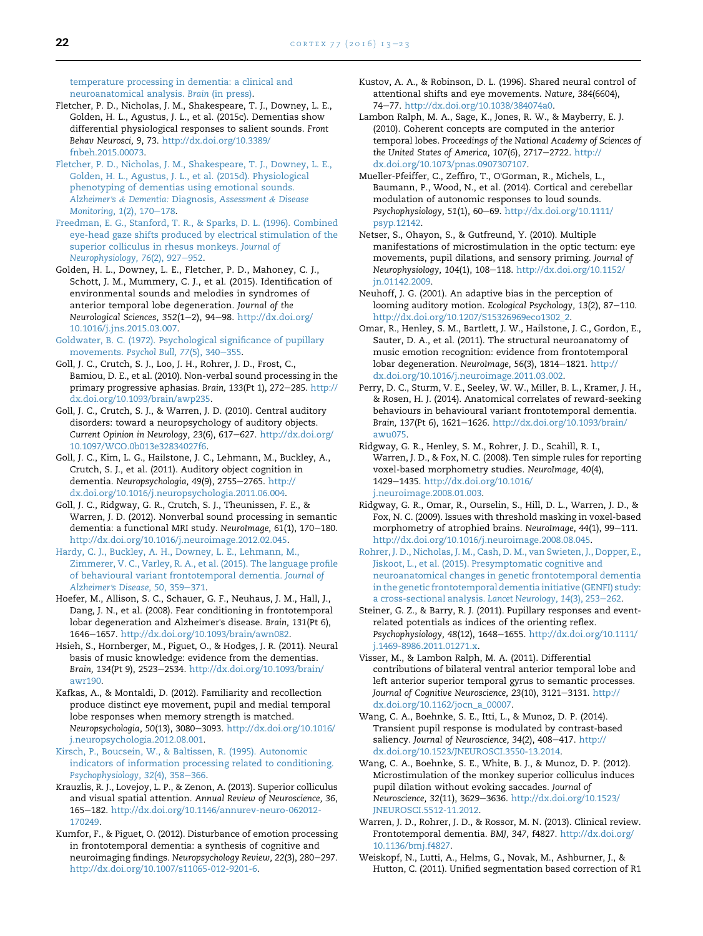<span id="page-9-0"></span>[temperature processing in dementia: a clinical and](http://refhub.elsevier.com/S0010-9452(16)00017-4/sref8) [neuroanatomical analysis.](http://refhub.elsevier.com/S0010-9452(16)00017-4/sref8) Brain (in press).

- Fletcher, P. D., Nicholas, J. M., Shakespeare, T. J., Downey, L. E., Golden, H. L., Agustus, J. L., et al. (2015c). Dementias show differential physiological responses to salient sounds. Front Behav Neurosci, 9, 73. [http://dx.doi.org/10.3389/](http://dx.doi.org/10.3389/fnbeh.2015.00073) [fnbeh.2015.00073.](http://dx.doi.org/10.3389/fnbeh.2015.00073)
- [Fletcher, P. D., Nicholas, J. M., Shakespeare, T. J., Downey, L. E.,](http://refhub.elsevier.com/S0010-9452(16)00017-4/sref10) [Golden, H. L., Agustus, J. L., et al. \(2015d\). Physiological](http://refhub.elsevier.com/S0010-9452(16)00017-4/sref10) [phenotyping of dementias using emotional sounds.](http://refhub.elsevier.com/S0010-9452(16)00017-4/sref10) [Alzheimer](http://refhub.elsevier.com/S0010-9452(16)00017-4/sref10)'s & Dementia: Diagnosis[, Assessment](http://refhub.elsevier.com/S0010-9452(16)00017-4/sref10) & [Disease](http://refhub.elsevier.com/S0010-9452(16)00017-4/sref10) [Monitoring, 1](http://refhub.elsevier.com/S0010-9452(16)00017-4/sref10)(2), 170-[178](http://refhub.elsevier.com/S0010-9452(16)00017-4/sref10).
- [Freedman, E. G., Stanford, T. R., & Sparks, D. L. \(1996\). Combined](http://refhub.elsevier.com/S0010-9452(16)00017-4/sref11) [eye-head gaze shifts produced by electrical stimulation of the](http://refhub.elsevier.com/S0010-9452(16)00017-4/sref11) [superior colliculus in rhesus monkeys.](http://refhub.elsevier.com/S0010-9452(16)00017-4/sref11) Journal of [Neurophysiology, 76](http://refhub.elsevier.com/S0010-9452(16)00017-4/sref11)(2), 927-[952.](http://refhub.elsevier.com/S0010-9452(16)00017-4/sref11)
- Golden, H. L., Downey, L. E., Fletcher, P. D., Mahoney, C. J., Schott, J. M., Mummery, C. J., et al. (2015). Identification of environmental sounds and melodies in syndromes of anterior temporal lobe degeneration. Journal of the Neurological Sciences, 352(1-2), 94-98. [http://dx.doi.org/](http://dx.doi.org/10.1016/j.jns.2015.03.007) [10.1016/j.jns.2015.03.007](http://dx.doi.org/10.1016/j.jns.2015.03.007).
- [Goldwater, B. C. \(1972\). Psychological significance of pupillary](http://refhub.elsevier.com/S0010-9452(16)00017-4/sref13) movements. [Psychol Bull, 77](http://refhub.elsevier.com/S0010-9452(16)00017-4/sref13)(5), 340-[355](http://refhub.elsevier.com/S0010-9452(16)00017-4/sref13).
- Goll, J. C., Crutch, S. J., Loo, J. H., Rohrer, J. D., Frost, C., Bamiou, D. E., et al. (2010). Non-verbal sound processing in the primary progressive aphasias. Brain, 133(Pt 1), 272-285. [http://](http://dx.doi.org/10.1093/brain/awp235) [dx.doi.org/10.1093/brain/awp235](http://dx.doi.org/10.1093/brain/awp235).
- Goll, J. C., Crutch, S. J., & Warren, J. D. (2010). Central auditory disorders: toward a neuropsychology of auditory objects. Current Opinion in Neurology, 23(6), 617-627. [http://dx.doi.org/](http://dx.doi.org/10.1097/WCO.0b013e32834027f6) [10.1097/WCO.0b013e32834027f6.](http://dx.doi.org/10.1097/WCO.0b013e32834027f6)
- Goll, J. C., Kim, L. G., Hailstone, J. C., Lehmann, M., Buckley, A., Crutch, S. J., et al. (2011). Auditory object cognition in dementia. Neuropsychologia, 49(9), 2755-2765. [http://](http://dx.doi.org/10.1016/j.neuropsychologia.2011.06.004) [dx.doi.org/10.1016/j.neuropsychologia.2011.06.004](http://dx.doi.org/10.1016/j.neuropsychologia.2011.06.004).
- Goll, J. C., Ridgway, G. R., Crutch, S. J., Theunissen, F. E., & Warren, J. D. (2012). Nonverbal sound processing in semantic dementia: a functional MRI study. NeuroImage, 61(1), 170-180. <http://dx.doi.org/10.1016/j.neuroimage.2012.02.045>.
- [Hardy, C. J., Buckley, A. H., Downey, L. E., Lehmann, M.,](http://refhub.elsevier.com/S0010-9452(16)00017-4/sref18) [Zimmerer, V. C., Varley, R. A., et al. \(2015\). The language profile](http://refhub.elsevier.com/S0010-9452(16)00017-4/sref18) [of behavioural variant frontotemporal dementia.](http://refhub.elsevier.com/S0010-9452(16)00017-4/sref18) Journal of Alzheimer'[s Disease, 50](http://refhub.elsevier.com/S0010-9452(16)00017-4/sref18), 359-[371](http://refhub.elsevier.com/S0010-9452(16)00017-4/sref18).
- Hoefer, M., Allison, S. C., Schauer, G. F., Neuhaus, J. M., Hall, J., Dang, J. N., et al. (2008). Fear conditioning in frontotemporal lobar degeneration and Alzheimer's disease. Brain, 131(Pt 6), 1646-1657. [http://dx.doi.org/10.1093/brain/awn082.](http://dx.doi.org/10.1093/brain/awn082)
- Hsieh, S., Hornberger, M., Piguet, O., & Hodges, J. R. (2011). Neural basis of music knowledge: evidence from the dementias. Brain, 134(Pt 9), 2523-2534. [http://dx.doi.org/10.1093/brain/](http://dx.doi.org/10.1093/brain/awr190) [awr190.](http://dx.doi.org/10.1093/brain/awr190)
- Kafkas, A., & Montaldi, D. (2012). Familiarity and recollection produce distinct eye movement, pupil and medial temporal lobe responses when memory strength is matched. Neuropsychologia, 50(13), 3080-3093. [http://dx.doi.org/10.1016/](http://dx.doi.org/10.1016/j.neuropsychologia.2012.08.001) [j.neuropsychologia.2012.08.001](http://dx.doi.org/10.1016/j.neuropsychologia.2012.08.001).
- [Kirsch, P., Boucsein, W., & Baltissen, R. \(1995\). Autonomic](http://refhub.elsevier.com/S0010-9452(16)00017-4/sref22) [indicators of information processing related to conditioning.](http://refhub.elsevier.com/S0010-9452(16)00017-4/sref22) [Psychophysiology, 32](http://refhub.elsevier.com/S0010-9452(16)00017-4/sref22)(4), 358-[366](http://refhub.elsevier.com/S0010-9452(16)00017-4/sref22).
- Krauzlis, R. J., Lovejoy, L. P., & Zenon, A. (2013). Superior colliculus and visual spatial attention. Annual Review of Neuroscience, 36, 165-182. [http://dx.doi.org/10.1146/annurev-neuro-062012-](http://dx.doi.org/10.1146/annurev-neuro-062012-170249) [170249](http://dx.doi.org/10.1146/annurev-neuro-062012-170249).
- Kumfor, F., & Piguet, O. (2012). Disturbance of emotion processing in frontotemporal dementia: a synthesis of cognitive and neuroimaging findings. Neuropsychology Review, 22(3), 280-297. [http://dx.doi.org/10.1007/s11065-012-9201-6.](http://dx.doi.org/10.1007/s11065-012-9201-6)
- Kustov, A. A., & Robinson, D. L. (1996). Shared neural control of attentional shifts and eye movements. Nature, 384(6604), 74-77. <http://dx.doi.org/10.1038/384074a0>.
- Lambon Ralph, M. A., Sage, K., Jones, R. W., & Mayberry, E. J. (2010). Coherent concepts are computed in the anterior temporal lobes. Proceedings of the National Academy of Sciences of the United States of America,  $107(6)$ ,  $2717-2722$ . [http://](http://dx.doi.org/10.1073/pnas.0907307107) [dx.doi.org/10.1073/pnas.0907307107](http://dx.doi.org/10.1073/pnas.0907307107).
- Mueller-Pfeiffer, C., Zeffiro, T., O'Gorman, R., Michels, L., Baumann, P., Wood, N., et al. (2014). Cortical and cerebellar modulation of autonomic responses to loud sounds. Psychophysiology, 51(1), 60-69. [http://dx.doi.org/10.1111/](http://dx.doi.org/10.1111/psyp.12142) [psyp.12142](http://dx.doi.org/10.1111/psyp.12142).
- Netser, S., Ohayon, S., & Gutfreund, Y. (2010). Multiple manifestations of microstimulation in the optic tectum: eye movements, pupil dilations, and sensory priming. Journal of Neurophysiology, 104(1), 108-118. [http://dx.doi.org/10.1152/](http://dx.doi.org/10.1152/jn.01142.2009) [jn.01142.2009.](http://dx.doi.org/10.1152/jn.01142.2009)
- Neuhoff, J. G. (2001). An adaptive bias in the perception of looming auditory motion. Ecological Psychology, 13(2), 87-110. [http://dx.doi.org/10.1207/S15326969eco1302\\_2.](http://dx.doi.org/10.1207/S15326969eco1302_2)
- Omar, R., Henley, S. M., Bartlett, J. W., Hailstone, J. C., Gordon, E., Sauter, D. A., et al. (2011). The structural neuroanatomy of music emotion recognition: evidence from frontotemporal lobar degeneration. NeuroImage, 56(3), 1814-1821. [http://](http://dx.doi.org/10.1016/j.neuroimage.2011.03.002) [dx.doi.org/10.1016/j.neuroimage.2011.03.002](http://dx.doi.org/10.1016/j.neuroimage.2011.03.002).
- Perry, D. C., Sturm, V. E., Seeley, W. W., Miller, B. L., Kramer, J. H., & Rosen, H. J. (2014). Anatomical correlates of reward-seeking behaviours in behavioural variant frontotemporal dementia. Brain, 137(Pt 6), 1621-1626. [http://dx.doi.org/10.1093/brain/](http://dx.doi.org/10.1093/brain/awu075) [awu075](http://dx.doi.org/10.1093/brain/awu075).
- Ridgway, G. R., Henley, S. M., Rohrer, J. D., Scahill, R. I., Warren, J. D., & Fox, N. C. (2008). Ten simple rules for reporting voxel-based morphometry studies. NeuroImage, 40(4), 1429-1435. [http://dx.doi.org/10.1016/](http://dx.doi.org/10.1016/j.neuroimage.2008.01.003) [j.neuroimage.2008.01.003](http://dx.doi.org/10.1016/j.neuroimage.2008.01.003).
- Ridgway, G. R., Omar, R., Ourselin, S., Hill, D. L., Warren, J. D., & Fox, N. C. (2009). Issues with threshold masking in voxel-based morphometry of atrophied brains. NeuroImage, 44(1), 99-111. <http://dx.doi.org/10.1016/j.neuroimage.2008.08.045>.
- [Rohrer, J. D., Nicholas, J. M., Cash, D. M., van Swieten, J., Dopper, E.,](http://refhub.elsevier.com/S0010-9452(16)00017-4/sref34) [Jiskoot, L., et al. \(2015\). Presymptomatic cognitive and](http://refhub.elsevier.com/S0010-9452(16)00017-4/sref34) [neuroanatomical changes in genetic frontotemporal dementia](http://refhub.elsevier.com/S0010-9452(16)00017-4/sref34) [in the genetic frontotemporal dementia initiative \(GENFI\) study:](http://refhub.elsevier.com/S0010-9452(16)00017-4/sref34) [a cross-sectional analysis.](http://refhub.elsevier.com/S0010-9452(16)00017-4/sref34) Lancet Neurology, 14(3), 253-[262](http://refhub.elsevier.com/S0010-9452(16)00017-4/sref34).
- Steiner, G. Z., & Barry, R. J. (2011). Pupillary responses and eventrelated potentials as indices of the orienting reflex. Psychophysiology, 48(12), 1648-1655. [http://dx.doi.org/10.1111/](http://dx.doi.org/10.1111/j.1469-8986.2011.01271.x) [j.1469-8986.2011.01271.x.](http://dx.doi.org/10.1111/j.1469-8986.2011.01271.x)
- Visser, M., & Lambon Ralph, M. A. (2011). Differential contributions of bilateral ventral anterior temporal lobe and left anterior superior temporal gyrus to semantic processes. Journal of Cognitive Neuroscience, 23(10), 3121-3131. [http://](http://dx.doi.org/10.1162/jocn_a_00007) [dx.doi.org/10.1162/jocn\\_a\\_00007](http://dx.doi.org/10.1162/jocn_a_00007).
- Wang, C. A., Boehnke, S. E., Itti, L., & Munoz, D. P. (2014). Transient pupil response is modulated by contrast-based saliency. Journal of Neuroscience, 34(2), 408-417. [http://](http://dx.doi.org/10.1523/JNEUROSCI.3550-13.2014) [dx.doi.org/10.1523/JNEUROSCI.3550-13.2014.](http://dx.doi.org/10.1523/JNEUROSCI.3550-13.2014)
- Wang, C. A., Boehnke, S. E., White, B. J., & Munoz, D. P. (2012). Microstimulation of the monkey superior colliculus induces pupil dilation without evoking saccades. Journal of Neuroscience, 32(11), 3629-3636. [http://dx.doi.org/10.1523/](http://dx.doi.org/10.1523/JNEUROSCI.5512-11.2012) [JNEUROSCI.5512-11.2012.](http://dx.doi.org/10.1523/JNEUROSCI.5512-11.2012)
- Warren, J. D., Rohrer, J. D., & Rossor, M. N. (2013). Clinical review. Frontotemporal dementia. BMJ, 347, f4827. [http://dx.doi.org/](http://dx.doi.org/10.1136/bmj.f4827) [10.1136/bmj.f4827.](http://dx.doi.org/10.1136/bmj.f4827)
- Weiskopf, N., Lutti, A., Helms, G., Novak, M., Ashburner, J., & Hutton, C. (2011). Unified segmentation based correction of R1